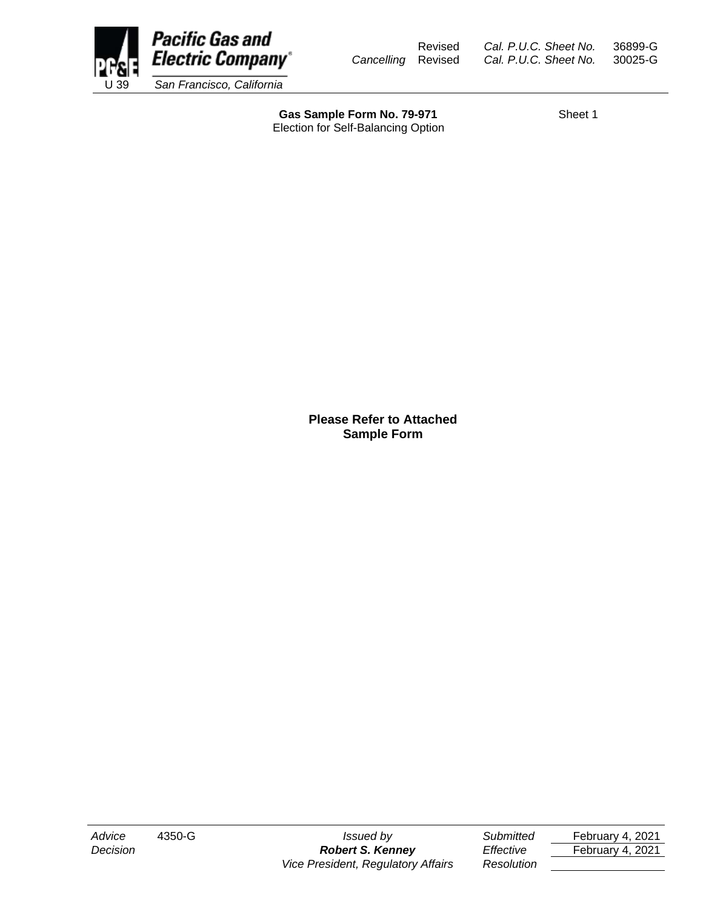

Revised *Cal. P.U.C. Sheet No.* 36899-G *Cancelling* Revised *Cal. P.U.C. Sheet No.* 30025-G

Gas Sample Form No. 79-971 Sheet 1 Election for Self-Balancing Option

**Please Refer to Attached Sample Form**

*Decision Robert S. Kenney Effective* February 4, 2021 *Vice President, Regulatory Affairs Resolution*

*Advice* 4350-G *Issued by Submitted* February 4, 2021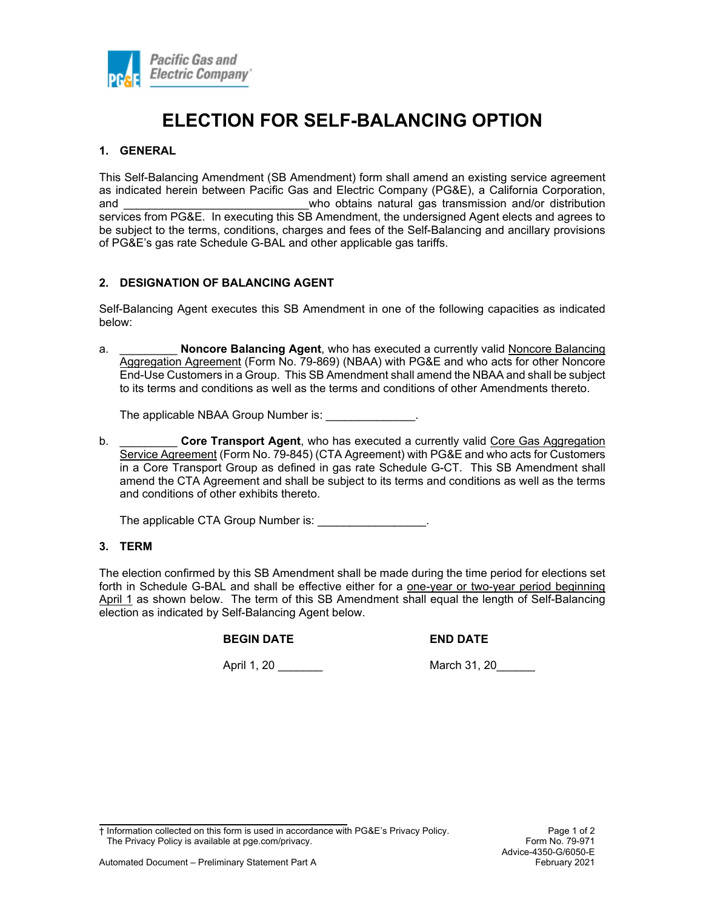

# **ELECTION FOR SELF-BALANCING OPTION**

# **1. GENERAL**

This Self-Balancing Amendment (SB Amendment) form shall amend an existing service agreement as indicated herein between Pacific Gas and Electric Company (PG&E), a California Corporation, and \_\_\_\_\_\_\_\_\_\_\_\_\_\_\_\_\_\_\_\_\_\_\_\_\_\_\_\_\_who obtains natural gas transmission and/or distribution services from PG&E. In executing this SB Amendment, the undersigned Agent elects and agrees to be subject to the terms, conditions, charges and fees of the Self-Balancing and ancillary provisions of PG&E's gas rate Schedule G-BAL and other applicable gas tariffs.

# **2. DESIGNATION OF BALANCING AGENT**

Self-Balancing Agent executes this SB Amendment in one of the following capacities as indicated below:

a. \_\_\_\_\_\_\_\_\_ **Noncore Balancing Agent**, who has executed a currently valid Noncore Balancing Aggregation Agreement (Form No. 79-869) (NBAA) with PG&E and who acts for other Noncore End-Use Customers in a Group. This SB Amendment shall amend the NBAA and shall be subject to its terms and conditions as well as the terms and conditions of other Amendments thereto.

The applicable NBAA Group Number is: \_\_\_\_\_\_\_\_\_\_\_\_\_\_.

b. \_\_\_\_\_\_\_\_\_ **Core Transport Agent**, who has executed a currently valid Core Gas Aggregation Service Agreement (Form No. 79-845) (CTA Agreement) with PG&E and who acts for Customers in a Core Transport Group as defined in gas rate Schedule G-CT. This SB Amendment shall amend the CTA Agreement and shall be subject to its terms and conditions as well as the terms and conditions of other exhibits thereto.

The applicable CTA Group Number is:  $\blacksquare$ 

#### **3. TERM**

The election confirmed by this SB Amendment shall be made during the time period for elections set forth in Schedule G-BAL and shall be effective either for a one-year or two-year period beginning April 1 as shown below. The term of this SB Amendment shall equal the length of Self-Balancing election as indicated by Self-Balancing Agent below.

#### **BEGIN DATE END DATE**

April 1, 20 \_\_\_\_\_\_\_ March 31, 20\_\_\_\_\_\_

† Information collected on this form is used in accordance with PG&E's Privacy Policy. Page 1 of 2 The Privacy Policy is available at pge.com/privacy. The example of the example of the Form No. 79-971